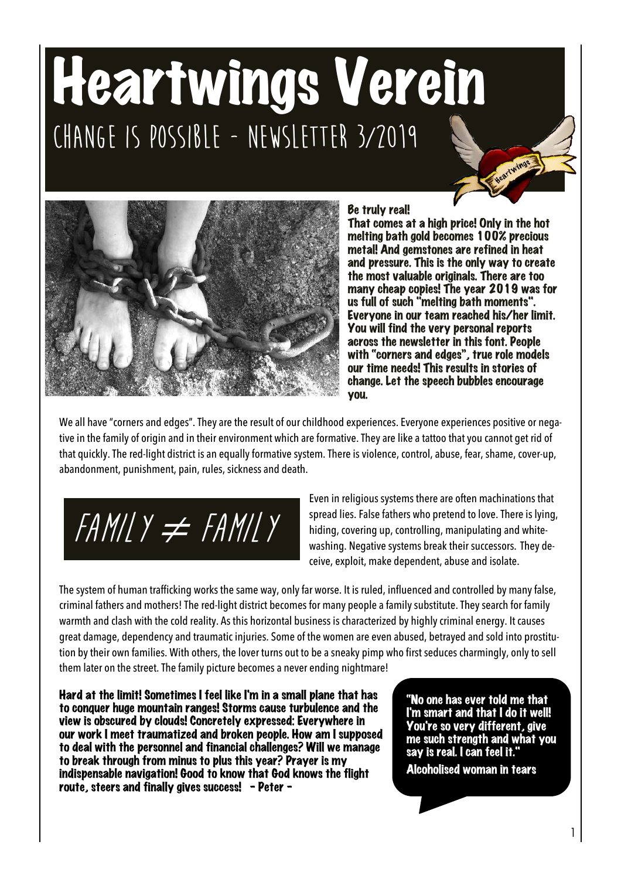# Heartwings Verein **Change is possible - Newsletter 3/2019**



#### Be truly real!

That comes at a high price! Only in the hot melting bath gold becomes 100% precious metal! And gemstones are refined in heat and pressure. This is the only way to create the most valuable originals. There are too many cheap copies! The year 2019 was for us full of such "melting bath moments". Everyone in our team reached his/her limit. You will find the very personal reports across the newsletter in this font. People with "corners and edges", true role models our time needs! This results in stories of change. Let the speech bubbles encourage you.

eartwings

We all have "corners and edges". They are the result of our childhood experiences. Everyone experiences positive or negative in the family of origin and in their environment which are formative. They are like a tattoo that you cannot get rid of that quickly. The red-light district is an equally formative system. There is violence, control, abuse, fear, shame, cover-up, abandonment, punishment, pain, rules, sickness and death.

**Family** ≠ **Family**

Even in religious systems there are often machinations that spread lies. False fathers who pretend to love. There is lying, hiding, covering up, controlling, manipulating and whitewashing. Negative systems break their successors. They deceive, exploit, make dependent, abuse and isolate.

The system of human trafficking works the same way, only far worse. It is ruled, influenced and controlled by many false, criminal fathers and mothers! The red-light district becomes for many people a family substitute. They search for family warmth and clash with the cold reality. As this horizontal business is characterized by highly criminal energy. It causes great damage, dependency and traumatic injuries. Some of the women are even abused, betrayed and sold into prostitution by their own families. With others, the lover turns out to be a sneaky pimp who first seduces charmingly, only to sell them later on the street. The family picture becomes a never ending nightmare!

Hard at the limit! Sometimes I feel like I'm in a small plane that has to conquer huge mountain ranges! Storms cause turbulence and the view is obscured by clouds! Concretely expressed: Everywhere in our work I meet traumatized and broken people. How am I supposed to deal with the personnel and financial challenges? Will we manage to break through from minus to plus this year? Prayer is my indispensable navigation! Good to know that God knows the flight route, steers and finally gives success! - Peter -

"No one has ever told me that I'm smart and that I do it well! You're so very different, give me such strength and what you say is real. I can feel it." Alcoholised woman in tears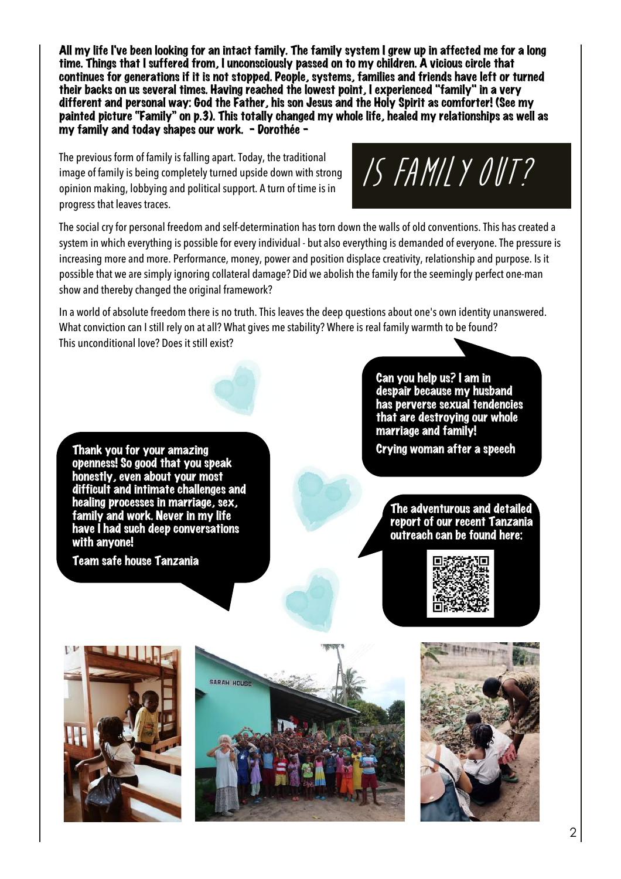All my life I've been looking for an intact family. The family system I grew up in affected me for a long time. Things that I suffered from, I unconsciously passed on to my children. A vicious circle that continues for generations if it is not stopped. People, systems, families and friends have left or turned their backs on us several times. Having reached the lowest point, I experienced "family" in a very different and personal way: God the Father, his son Jesus and the Holy Spirit as comforter! (See my painted picture "Family" on p.3). This totally changed my whole life, healed my relationships as well as my family and today shapes our work. - Dorothée -

The previous form of family is falling apart. Today, the traditional image of family is being completely turned upside down with strong opinion making, lobbying and political support. A turn of time is in progress that leaves traces.

**Is family out?**

The social cry for personal freedom and self-determination has torn down the walls of old conventions. This has created a system in which everything is possible for every individual - but also everything is demanded of everyone. The pressure is increasing more and more. Performance, money, power and position displace creativity, relationship and purpose. Is it possible that we are simply ignoring collateral damage? Did we abolish the family for the seemingly perfect one-man show and thereby changed the original framework?

In a world of absolute freedom there is no truth. This leaves the deep questions about one's own identity unanswered. What conviction can I still rely on at all? What gives me stability? Where is real family warmth to be found? This unconditional love? Does it still exist?

Thank you for your amazing openness! So good that you speak honestly, even about your most difficult and intimate challenges and healing processes in marriage, sex, family and work. Never in my life have I had such deep conversations with anyone!

Team safe house Tanzania

L

Can you help us? I am in despair because my husband has perverse sexual tendencies that are destroying our whole marriage and family! Crying woman after a speech

The adventurous and detailed report of our recent Tanzania outreach can be found here:







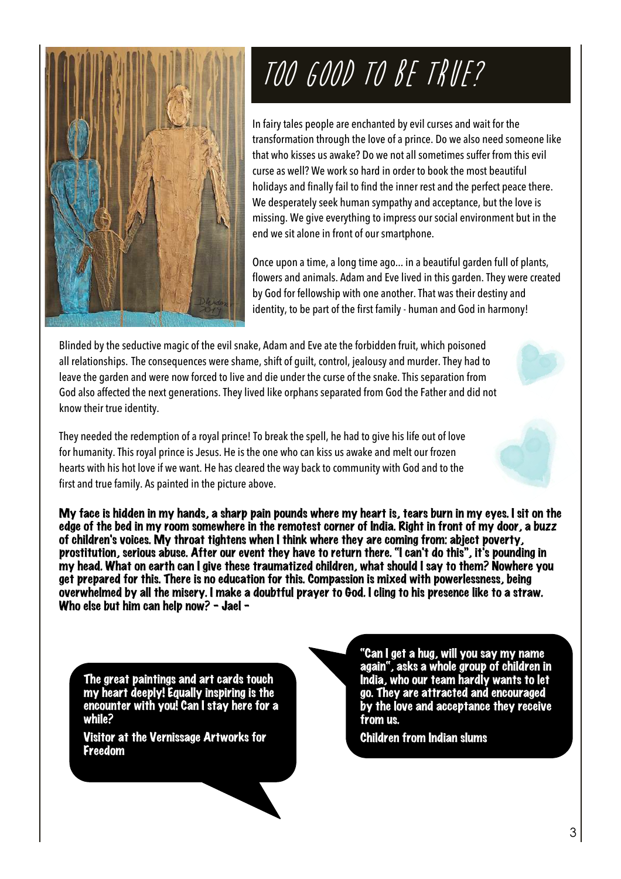

# **Too good to be true?**

In fairy tales people are enchanted by evil curses and wait for the transformation through the love of a prince. Do we also need someone like that who kisses us awake? Do we not all sometimes suffer from this evil curse as well? We work so hard in order to book the most beautiful holidays and finally fail to find the inner rest and the perfect peace there. We desperately seek human sympathy and acceptance, but the love is missing. We give everything to impress our social environment but in the end we sit alone in front of our smartphone.

Once upon a time, a long time ago... in a beautiful garden full of plants, flowers and animals. Adam and Eve lived in this garden. They were created by God for fellowship with one another. That was their destiny and identity, to be part of the first family - human and God in harmony!

Blinded by the seductive magic of the evil snake, Adam and Eve ate the forbidden fruit, which poisoned all relationships. The consequences were shame, shift of guilt, control, jealousy and murder. They had to leave the garden and were now forced to live and die under the curse of the snake. This separation from God also affected the next generations. They lived like orphans separated from God the Father and did not know their true identity.

They needed the redemption of a royal prince! To break the spell, he had to give his life out of love for humanity. This royal prince is Jesus. He is the one who can kiss us awake and melt our frozen hearts with his hot love if we want. He has cleared the way back to community with God and to the first and true family. As painted in the picture above.

My face is hidden in my hands, a sharp pain pounds where my heart is, tears burn in my eyes. I sit on the edge of the bed in my room somewhere in the remotest corner of India. Right in front of my door, a buzz of children's voices. My throat tightens when I think where they are coming from: abject poverty, prostitution, serious abuse. After our event they have to return there. "I can't do this", it's pounding in my head. What on earth can I give these traumatized children, what should I say to them? Nowhere you get prepared for this. There is no education for this. Compassion is mixed with powerlessness, being overwhelmed by all the misery. I make a doubtful prayer to God. I cling to his presence like to a straw. Who else but him can help now? - Jael -

The great paintings and art cards touch my heart deeply! Equally inspiring is the encounter with you! Can I stay here for a while?

Visitor at the Vernissage Artworks for Freedom

"Can I get a hug, will you say my name again", asks a whole group of children in India, who our team hardly wants to let go. They are attracted and encouraged by the love and acceptance they receive from us.

Children from Indian slums